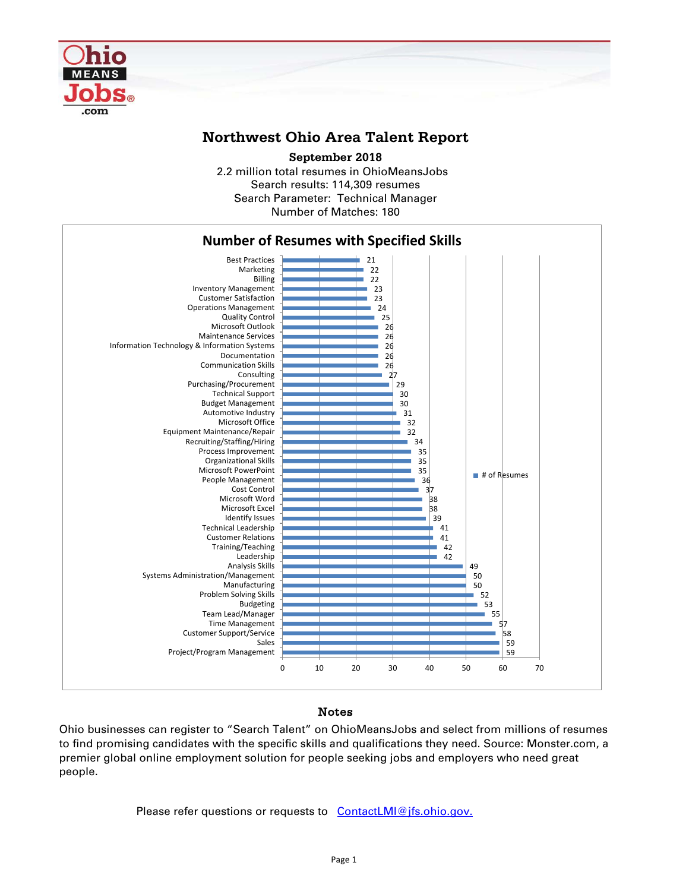

## **Northwest Ohio Area Talent Report**

**September 2018**

2.2 million total resumes in OhioMeansJobs Search results: 114,309 resumes Number of Matches: 180 Search Parameter: Technical Manager



## Notes

Ohio businesses can register to "Search Talent" on OhioMeansJobs and select from millions of resumes to find promising candidates with the specific skills and qualifications they need. Source: Monster.com, a premier global online employment solution for people seeking jobs and employers who need great people.

Please refer questions or requests to [ContactLMI@jfs.ohio.gov.](mailto:ContactLMI@jfs.ohio.gov.)